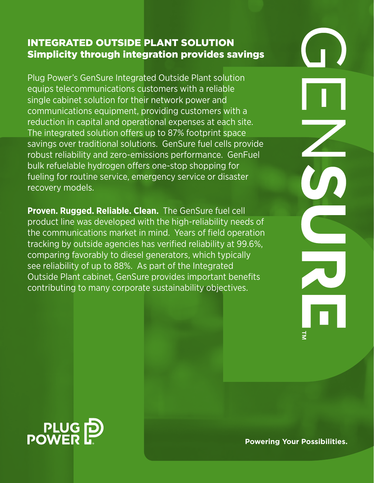## Integrated outside plant solution Simplicity through integration provides savings

Plug Power's GenSure Integrated Outside Plant solution equips telecommunications customers with a reliable single cabinet solution for their network power and communications equipment, providing customers with a reduction in capital and operational expenses at each site. The integrated solution offers up to 87% footprint space savings over traditional solutions. GenSure fuel cells provide robust reliability and zero-emissions performance. GenFuel bulk refuelable hydrogen offers one-stop shopping for fueling for routine service, emergency service or disaster recovery models.

**Proven. Rugged. Reliable. Clean.** The GenSure fuel cell product line was developed with the high-reliability needs of the communications market in mind. Years of field operation tracking by outside agencies has verified reliability at 99.6%, comparing favorably to diesel generators, which typically see reliability of up to 88%. As part of the Integrated Outside Plant cabinet, GenSure provides important benefits contributing to many corporate sustainability objectives.

PLUG<sub>D</sub><br>POWER

**Powering Your Possibilities.**